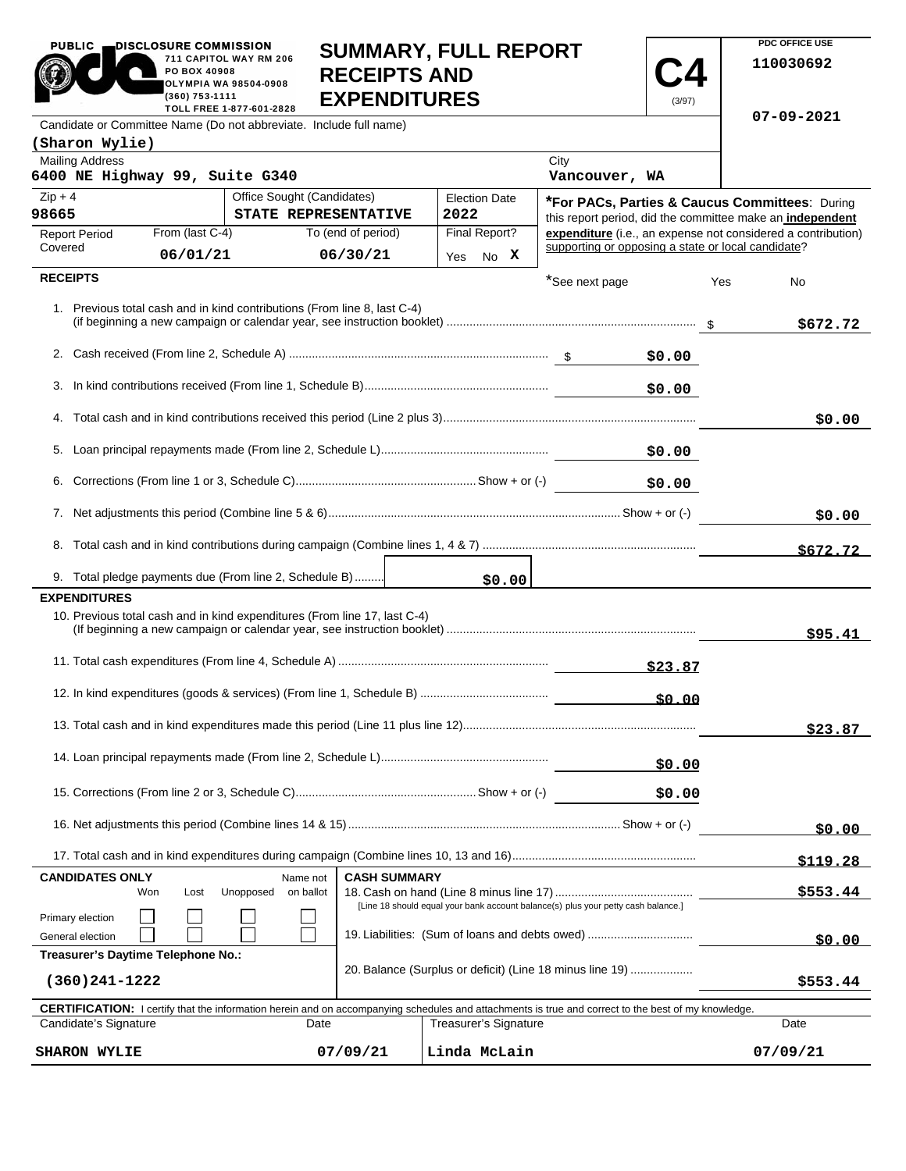|                                                                                                                                                                                         | PO BOX 40908<br>(360) 753-1111 | 711 CAPITOL WAY RM 206<br>OLYMPIA WA 98504-0908<br>TOLL FREE 1-877-601-2828 | <b>RECEIPTS AND</b><br><b>EXPENDITURES</b> | <b>JUIVIIVIAN I, FULL NEFUN I</b> |                                                                                                                    | (3/97)   |            | 110030692                                                 |
|-----------------------------------------------------------------------------------------------------------------------------------------------------------------------------------------|--------------------------------|-----------------------------------------------------------------------------|--------------------------------------------|-----------------------------------|--------------------------------------------------------------------------------------------------------------------|----------|------------|-----------------------------------------------------------|
| Candidate or Committee Name (Do not abbreviate. Include full name)                                                                                                                      |                                |                                                                             |                                            |                                   |                                                                                                                    |          | 07-09-2021 |                                                           |
| (Sharon Wylie)                                                                                                                                                                          |                                |                                                                             |                                            |                                   |                                                                                                                    |          |            |                                                           |
| <b>Mailing Address</b><br>6400 NE Highway 99, Suite G340                                                                                                                                |                                |                                                                             |                                            |                                   | City<br>Vancouver, WA                                                                                              |          |            |                                                           |
| $Zip + 4$                                                                                                                                                                               |                                | Office Sought (Candidates)                                                  |                                            | <b>Election Date</b>              |                                                                                                                    |          |            | <b>*For PACs, Parties &amp; Caucus Committees: During</b> |
| 98665                                                                                                                                                                                   |                                | STATE REPRESENTATIVE                                                        |                                            | 2022                              |                                                                                                                    |          |            | this report period, did the committee make an independent |
| <b>Report Period</b><br>Covered                                                                                                                                                         | From (last C-4)                | To (end of period)                                                          |                                            | Final Report?                     | expenditure (i.e., an expense not considered a contribution)<br>supporting or opposing a state or local candidate? |          |            |                                                           |
|                                                                                                                                                                                         | 06/01/21                       |                                                                             | 06/30/21                                   | Yes No X                          |                                                                                                                    |          |            |                                                           |
| <b>RECEIPTS</b>                                                                                                                                                                         |                                |                                                                             |                                            |                                   | *See next page                                                                                                     |          | Yes        | No                                                        |
|                                                                                                                                                                                         |                                | 1. Previous total cash and in kind contributions (From line 8, last C-4)    |                                            |                                   |                                                                                                                    |          |            | \$672.72                                                  |
|                                                                                                                                                                                         |                                |                                                                             |                                            |                                   |                                                                                                                    | \$0.00   |            |                                                           |
| 3.                                                                                                                                                                                      |                                |                                                                             |                                            |                                   | \$0.00                                                                                                             |          |            |                                                           |
|                                                                                                                                                                                         |                                |                                                                             |                                            |                                   |                                                                                                                    |          |            | \$0.00                                                    |
| 5.<br>\$0.00                                                                                                                                                                            |                                |                                                                             |                                            |                                   |                                                                                                                    |          |            |                                                           |
|                                                                                                                                                                                         |                                |                                                                             |                                            |                                   |                                                                                                                    | \$0.00   |            |                                                           |
|                                                                                                                                                                                         |                                |                                                                             |                                            |                                   |                                                                                                                    |          | \$0.00     |                                                           |
| 8.                                                                                                                                                                                      |                                |                                                                             |                                            |                                   |                                                                                                                    |          |            | \$672.72                                                  |
|                                                                                                                                                                                         |                                | 9. Total pledge payments due (From line 2, Schedule B)                      |                                            | \$0.00                            |                                                                                                                    |          |            |                                                           |
| <b>EXPENDITURES</b>                                                                                                                                                                     |                                |                                                                             |                                            |                                   |                                                                                                                    |          |            |                                                           |
|                                                                                                                                                                                         |                                | 10. Previous total cash and in kind expenditures (From line 17, last C-4)   |                                            |                                   |                                                                                                                    |          |            | \$95.41                                                   |
| \$23.87                                                                                                                                                                                 |                                |                                                                             |                                            |                                   |                                                                                                                    |          |            |                                                           |
| <u>50.00</u>                                                                                                                                                                            |                                |                                                                             |                                            |                                   |                                                                                                                    |          |            |                                                           |
|                                                                                                                                                                                         |                                |                                                                             |                                            |                                   |                                                                                                                    |          |            | \$23.87                                                   |
| \$0.00                                                                                                                                                                                  |                                |                                                                             |                                            |                                   |                                                                                                                    |          |            |                                                           |
| \$0.00                                                                                                                                                                                  |                                |                                                                             |                                            |                                   |                                                                                                                    |          |            |                                                           |
|                                                                                                                                                                                         |                                |                                                                             |                                            |                                   |                                                                                                                    | \$0.00   |            |                                                           |
|                                                                                                                                                                                         |                                |                                                                             |                                            |                                   |                                                                                                                    |          |            | <u>\$119.28</u>                                           |
| <b>CANDIDATES ONLY</b><br><b>CASH SUMMARY</b><br>Name not<br>Unopposed<br>on ballot<br>Won<br>Lost<br>[Line 18 should equal your bank account balance(s) plus your petty cash balance.] |                                |                                                                             |                                            |                                   |                                                                                                                    | \$553.44 |            |                                                           |
| Primary election<br>19. Liabilities: (Sum of loans and debts owed)<br>General election                                                                                                  |                                |                                                                             |                                            |                                   |                                                                                                                    | an nn    |            |                                                           |

20. Balance (Surplus or deficit) (Line 18 minus line 19) ...................

Treasurer's Signature Date

 $07/09/21$ 

**\$0.00**

**\$553.44**

 **CERTIFICATION:** I certify that the information herein and on accompanying schedules and attachments is true and correct to the best of my knowledge.

**SUMMARY, FULL REPORT** 

**PDC OFFICE USE** 

PUBLIC **DISCLOSURE COMMISSION** 

**(360)241-1222**

**Treasurer's Daytime Telephone No.:** 

Candidate's Signature Date

**SHARON WYLIE 07/09/21 Linda McLain 07/09/21**